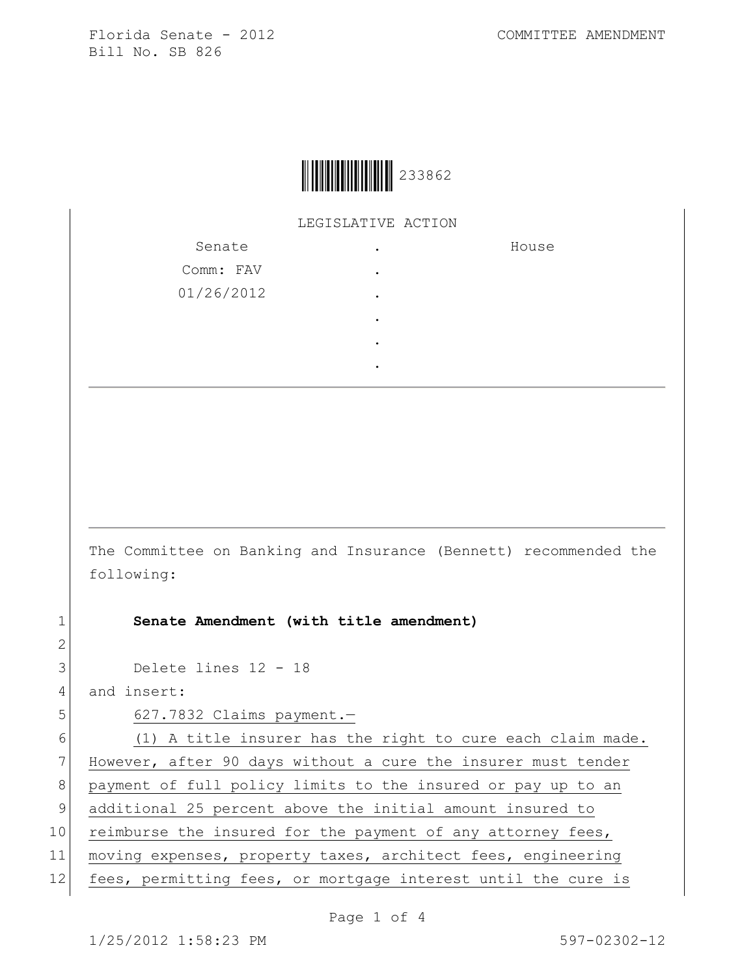LEGISLATIVE ACTION

| Senate     | ٠         | House |
|------------|-----------|-------|
| Comm: FAV  | $\bullet$ |       |
| 01/26/2012 | ٠         |       |
|            | ٠         |       |
|            | ٠         |       |
|            |           |       |

The Committee on Banking and Insurance (Bennett) recommended the following:

1 **Senate Amendment (with title amendment)**

3 Delete lines 12 - 18

4 and insert:

2

5 627.7832 Claims payment.

 $6$  (1) A title insurer has the right to cure each claim made. 7 However, after 90 days without a cure the insurer must tender 8 payment of full policy limits to the insured or pay up to an 9 additional 25 percent above the initial amount insured to 10 reimburse the insured for the payment of any attorney fees, 11 moving expenses, property taxes, architect fees, engineering 12 fees, permitting fees, or mortgage interest until the cure is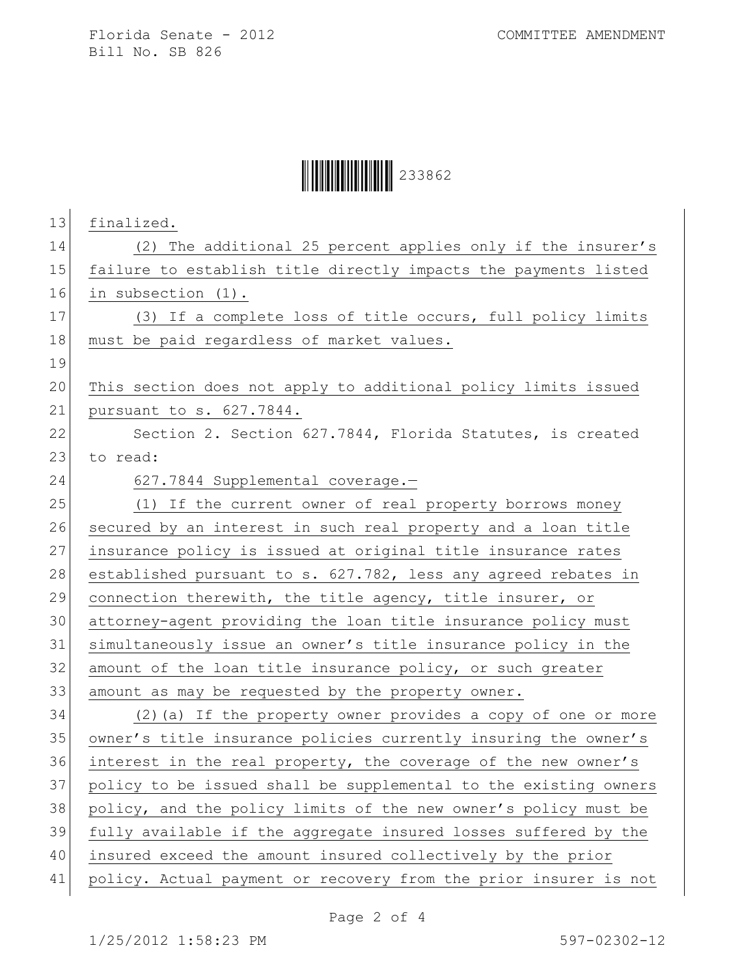## **││││││││││││││││** 233862

| 13<br>finalized.                                                       |
|------------------------------------------------------------------------|
| (2) The additional 25 percent applies only if the insurer's<br>14      |
| 15<br>failure to establish title directly impacts the payments listed  |
| 16<br>in subsection (1).                                               |
| 17<br>(3) If a complete loss of title occurs, full policy limits       |
| 18<br>must be paid regardless of market values.                        |
| 19                                                                     |
| 20<br>This section does not apply to additional policy limits issued   |
| pursuant to s. 627.7844.                                               |
| 22<br>Section 2. Section 627.7844, Florida Statutes, is created        |
| 23<br>to read:                                                         |
| 627.7844 Supplemental coverage.-                                       |
| 25<br>(1) If the current owner of real property borrows money          |
| 26<br>secured by an interest in such real property and a loan title    |
| 27<br>insurance policy is issued at original title insurance rates     |
| 28<br>established pursuant to s. 627.782, less any agreed rebates in   |
| 29<br>connection therewith, the title agency, title insurer, or        |
| 30<br>attorney-agent providing the loan title insurance policy must    |
| simultaneously issue an owner's title insurance policy in the          |
| 32<br>amount of the loan title insurance policy, or such greater       |
| 33<br>amount as may be requested by the property owner.                |
| 34<br>(2) (a) If the property owner provides a copy of one or more     |
| 35<br>owner's title insurance policies currently insuring the owner's  |
| 36<br>interest in the real property, the coverage of the new owner's   |
| 37<br>policy to be issued shall be supplemental to the existing owners |
| 38<br>policy, and the policy limits of the new owner's policy must be  |
| fully available if the aggregate insured losses suffered by the        |
| insured exceed the amount insured collectively by the prior            |
| policy. Actual payment or recovery from the prior insurer is not       |
|                                                                        |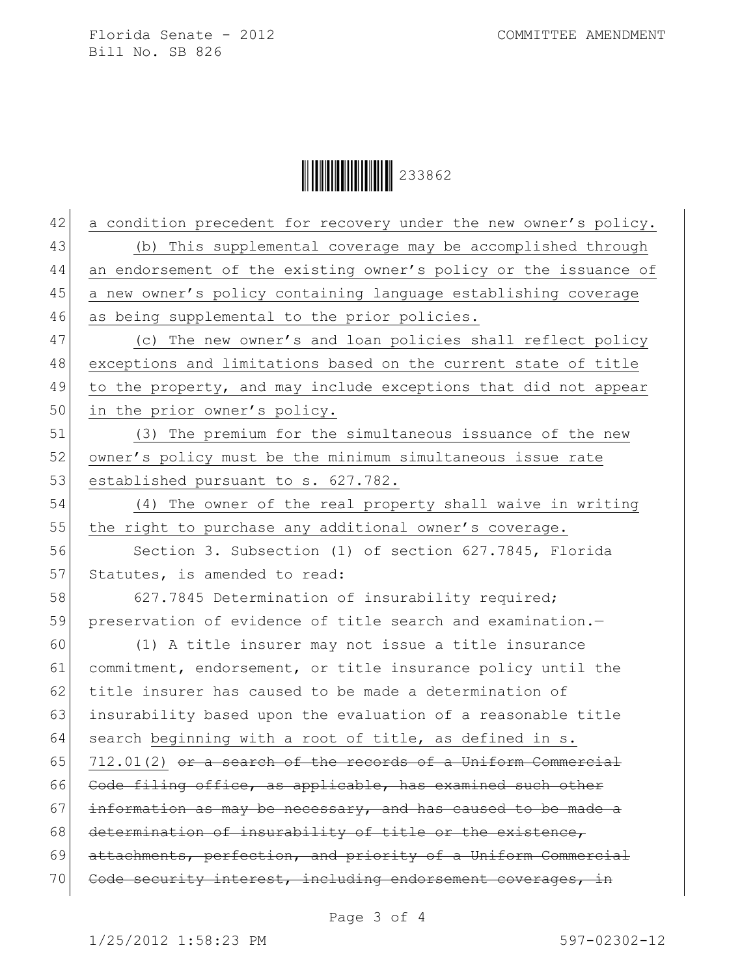**││││││││││││││││** 233862

| 42 | a condition precedent for recovery under the new owner's policy. |
|----|------------------------------------------------------------------|
| 43 | (b) This supplemental coverage may be accomplished through       |
| 44 | an endorsement of the existing owner's policy or the issuance of |
| 45 | a new owner's policy containing language establishing coverage   |
| 46 | as being supplemental to the prior policies.                     |
| 47 | (c) The new owner's and loan policies shall reflect policy       |
| 48 | exceptions and limitations based on the current state of title   |
| 49 | to the property, and may include exceptions that did not appear  |
| 50 | in the prior owner's policy.                                     |
| 51 | (3) The premium for the simultaneous issuance of the new         |
| 52 | owner's policy must be the minimum simultaneous issue rate       |
| 53 | established pursuant to s. 627.782.                              |
| 54 | (4) The owner of the real property shall waive in writing        |
| 55 | the right to purchase any additional owner's coverage.           |
| 56 | Section 3. Subsection (1) of section 627.7845, Florida           |
| 57 | Statutes, is amended to read:                                    |
| 58 | 627.7845 Determination of insurability required;                 |
| 59 | preservation of evidence of title search and examination.-       |
| 60 | (1) A title insurer may not issue a title insurance              |
| 61 | commitment, endorsement, or title insurance policy until the     |
| 62 | title insurer has caused to be made a determination of           |
| 63 | insurability based upon the evaluation of a reasonable title     |
| 64 | search beginning with a root of title, as defined in s.          |
| 65 | 712.01(2) or a search of the records of a Uniform Commercial     |
| 66 | Code filing office, as applicable, has examined such other       |
| 67 | information as may be necessary, and has caused to be made a     |
| 68 | determination of insurability of title or the existence,         |
| 69 | attachments, perfection, and priority of a Uniform Commercial    |
| 70 | Code security interest, including endorsement coverages, in      |
|    |                                                                  |

Page 3 of 4